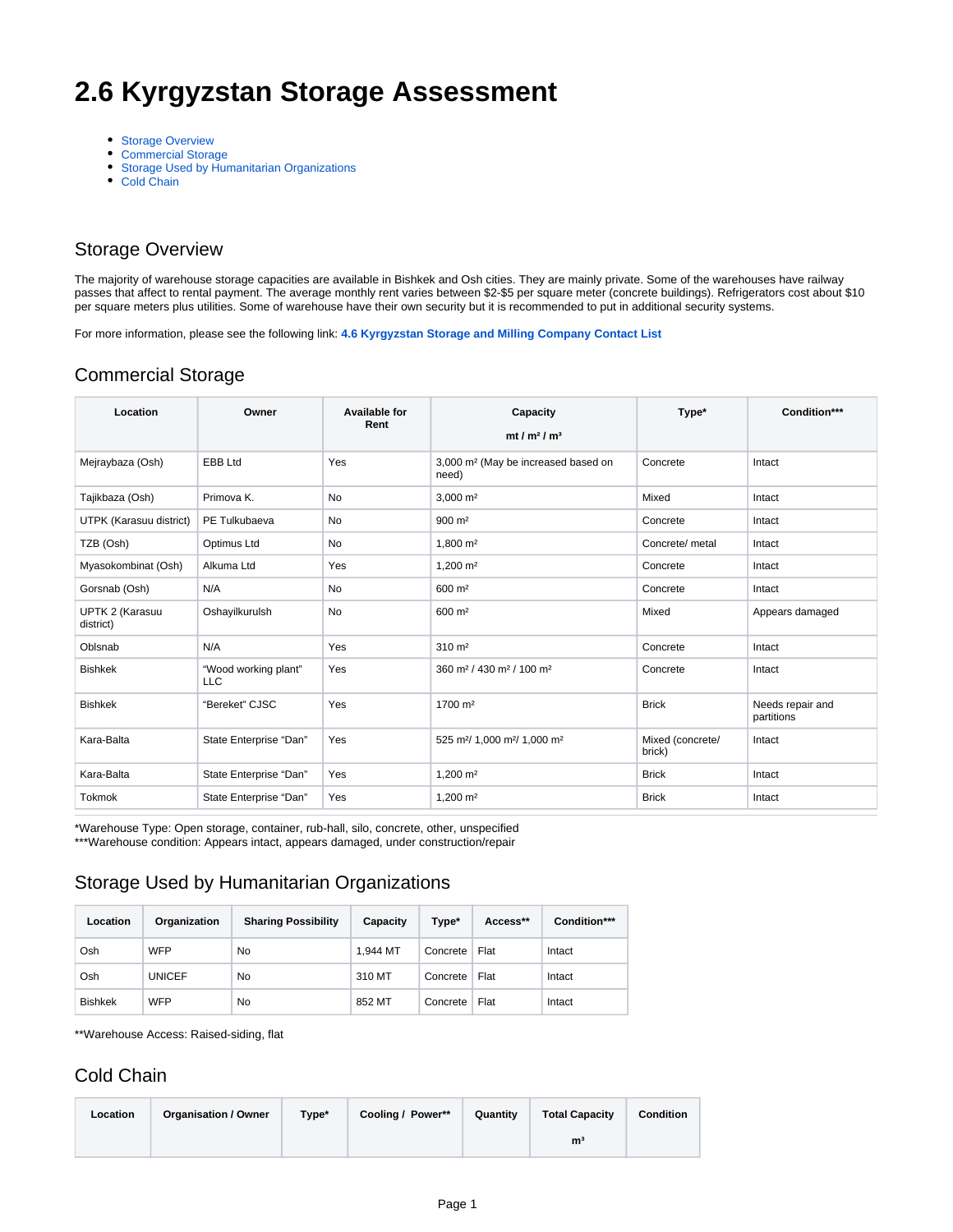# **2.6 Kyrgyzstan Storage Assessment**

- [Storage Overview](#page-0-0)
- [Commercial Storage](#page-0-1)
- [Storage Used by Humanitarian Organizations](#page-0-2)
- [Cold Chain](#page-0-3)

#### <span id="page-0-0"></span>Storage Overview

The majority of warehouse storage capacities are available in Bishkek and Osh cities. They are mainly private. Some of the warehouses have railway passes that affect to rental payment. The average monthly rent varies between \$2-\$5 per square meter (concrete buildings). Refrigerators cost about \$10 per square meters plus utilities. Some of warehouse have their own security but it is recommended to put in additional security systems.

For more information, please see the following link: **[4.6 Kyrgyzstan Storage and Milling Company Contact List](https://dlca.logcluster.org/display/DLCA/4.6+Kyrgyzstan+Storage+and+Milling+Company+Contact+List)**

### <span id="page-0-1"></span>Commercial Storage

| Location                     | Owner                              | <b>Available for</b><br>Rent | Capacity<br>mt / $m2$ / $m3$                                     | Type*                      | Condition***                   |
|------------------------------|------------------------------------|------------------------------|------------------------------------------------------------------|----------------------------|--------------------------------|
| Mejraybaza (Osh)             | EBB Ltd                            | Yes                          | 3,000 m <sup>2</sup> (May be increased based on<br>need)         | Concrete                   | Intact                         |
| Tajikbaza (Osh)              | Primova K.                         | No                           | $3,000 \text{ m}^2$                                              | Mixed                      | Intact                         |
| UTPK (Karasuu district)      | PE Tulkubaeva                      | No                           | $900 \; \text{m}^2$                                              | Concrete                   | Intact                         |
| TZB (Osh)                    | Optimus Ltd                        | No                           | 1,800 m <sup>2</sup>                                             | Concrete/ metal            | Intact                         |
| Myasokombinat (Osh)          | Alkuma Ltd                         | Yes                          | 1,200 m <sup>2</sup>                                             | Concrete                   | Intact                         |
| Gorsnab (Osh)                | N/A                                | No                           | 600 m <sup>2</sup>                                               | Concrete                   | Intact                         |
| UPTK 2 (Karasuu<br>district) | Oshayilkurulsh                     | No                           | 600 m <sup>2</sup>                                               | Mixed                      | Appears damaged                |
| Oblsnab                      | N/A                                | Yes                          | $310 \; \text{m}^2$                                              | Concrete                   | Intact                         |
| <b>Bishkek</b>               | "Wood working plant"<br><b>LLC</b> | Yes                          | 360 m <sup>2</sup> / 430 m <sup>2</sup> / 100 m <sup>2</sup>     | Concrete                   | Intact                         |
| <b>Bishkek</b>               | "Bereket" CJSC                     | Yes                          | 1700 m <sup>2</sup>                                              | <b>Brick</b>               | Needs repair and<br>partitions |
| Kara-Balta                   | State Enterprise "Dan"             | Yes                          | 525 m <sup>2</sup> / 1,000 m <sup>2</sup> / 1,000 m <sup>2</sup> | Mixed (concrete/<br>brick) | Intact                         |
| Kara-Balta                   | State Enterprise "Dan"             | Yes                          | $1,200 \text{ m}^2$                                              | <b>Brick</b>               | Intact                         |
| <b>Tokmok</b>                | State Enterprise "Dan"             | Yes                          | $1,200 \text{ m}^2$                                              | <b>Brick</b>               | Intact                         |

\*Warehouse Type: Open storage, container, rub-hall, silo, concrete, other, unspecified \*\*\*Warehouse condition: Appears intact, appears damaged, under construction/repair

## <span id="page-0-2"></span>Storage Used by Humanitarian Organizations

| Location       | Organization  | <b>Sharing Possibility</b> | Capacity | Type*    | Access** | Condition*** |
|----------------|---------------|----------------------------|----------|----------|----------|--------------|
| Osh            | <b>WFP</b>    | No                         | 1.944 MT | Concrete | Flat     | Intact       |
| Osh            | <b>UNICEF</b> | No                         | 310 MT   | Concrete | Flat     | Intact       |
| <b>Bishkek</b> | <b>WFP</b>    | No                         | 852 MT   | Concrete | Flat     | Intact       |

\*\*Warehouse Access: Raised-siding, flat

#### <span id="page-0-3"></span>Cold Chain

| Location | <b>Organisation / Owner</b> | Type* | Cooling / Power** | Quantity | <b>Total Capacity</b> | <b>Condition</b> |
|----------|-----------------------------|-------|-------------------|----------|-----------------------|------------------|
|          |                             |       |                   |          | m <sup>3</sup>        |                  |